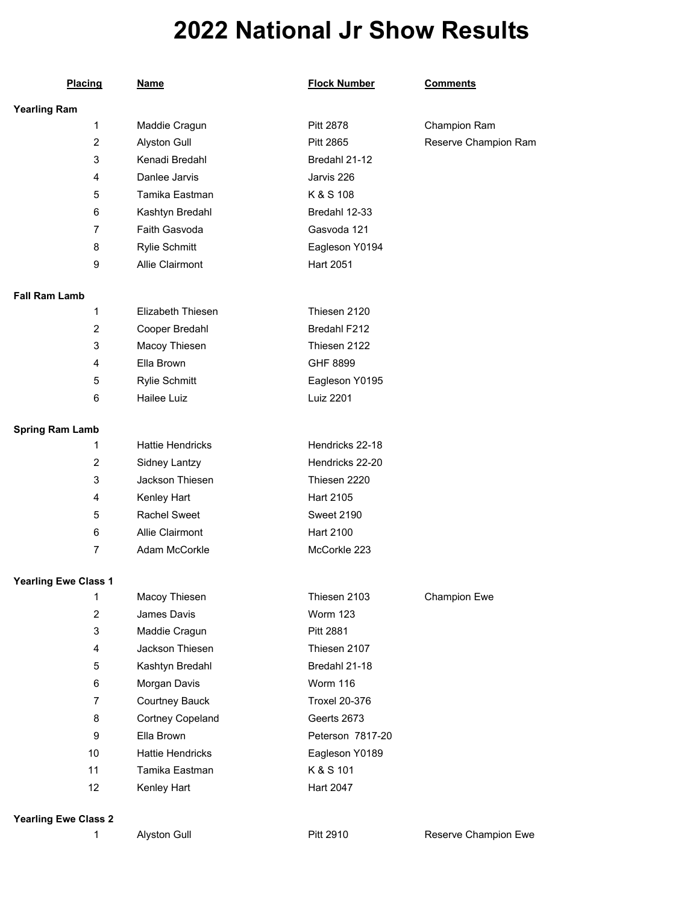## **2022 National Jr Show Results**

| Placing                     | <b>Name</b>             | <b>Flock Number</b>  | <b>Comments</b>      |
|-----------------------------|-------------------------|----------------------|----------------------|
| <b>Yearling Ram</b>         |                         |                      |                      |
| $\mathbf{1}$                | Maddie Cragun           | Pitt 2878            | Champion Ram         |
| $\overline{c}$              | Alyston Gull            | Pitt 2865            | Reserve Champion Ram |
| 3                           | Kenadi Bredahl          | Bredahl 21-12        |                      |
| 4                           | Danlee Jarvis           | Jarvis 226           |                      |
| 5                           | Tamika Eastman          | K & S 108            |                      |
| 6                           | Kashtyn Bredahl         | Bredahl 12-33        |                      |
| $\overline{7}$              | Faith Gasvoda           | Gasvoda 121          |                      |
| 8                           | <b>Rylie Schmitt</b>    | Eagleson Y0194       |                      |
| 9                           | Allie Clairmont         | Hart 2051            |                      |
| <b>Fall Ram Lamb</b>        |                         |                      |                      |
| $\mathbf{1}$                | Elizabeth Thiesen       | Thiesen 2120         |                      |
| $\overline{c}$              | Cooper Bredahl          | Bredahl F212         |                      |
| 3                           | Macoy Thiesen           | Thiesen 2122         |                      |
| 4                           | Ella Brown              | GHF 8899             |                      |
| 5                           | <b>Rylie Schmitt</b>    | Eagleson Y0195       |                      |
| 6                           | Hailee Luiz             | Luiz 2201            |                      |
| <b>Spring Ram Lamb</b>      |                         |                      |                      |
| 1                           | <b>Hattie Hendricks</b> | Hendricks 22-18      |                      |
| $\overline{c}$              | <b>Sidney Lantzy</b>    | Hendricks 22-20      |                      |
| 3                           | Jackson Thiesen         | Thiesen 2220         |                      |
| 4                           | Kenley Hart             | Hart 2105            |                      |
| 5                           | <b>Rachel Sweet</b>     | <b>Sweet 2190</b>    |                      |
| 6                           | Allie Clairmont         | Hart 2100            |                      |
| $\overline{7}$              | Adam McCorkle           | McCorkle 223         |                      |
| <b>Yearling Ewe Class 1</b> |                         |                      |                      |
| 1                           | Macoy Thiesen           | Thiesen 2103         | <b>Champion Ewe</b>  |
| $\overline{c}$              | James Davis             | Worm 123             |                      |
| 3                           | Maddie Cragun           | Pitt 2881            |                      |
| 4                           | Jackson Thiesen         | Thiesen 2107         |                      |
| 5                           | Kashtyn Bredahl         | Bredahl 21-18        |                      |
| 6                           | Morgan Davis            | Worm 116             |                      |
| $\overline{7}$              | Courtney Bauck          | <b>Troxel 20-376</b> |                      |
| 8                           | <b>Cortney Copeland</b> | Geerts 2673          |                      |
| 9                           | Ella Brown              | Peterson 7817-20     |                      |
| 10                          | <b>Hattie Hendricks</b> | Eagleson Y0189       |                      |
| 11                          | Tamika Eastman          | K & S 101            |                      |
| 12                          | Kenley Hart             | Hart 2047            |                      |

## **Yearling Ewe Class 2**

1 Alyston Gull **Alyston Gull** Pitt 2910 Reserve Champion Ewe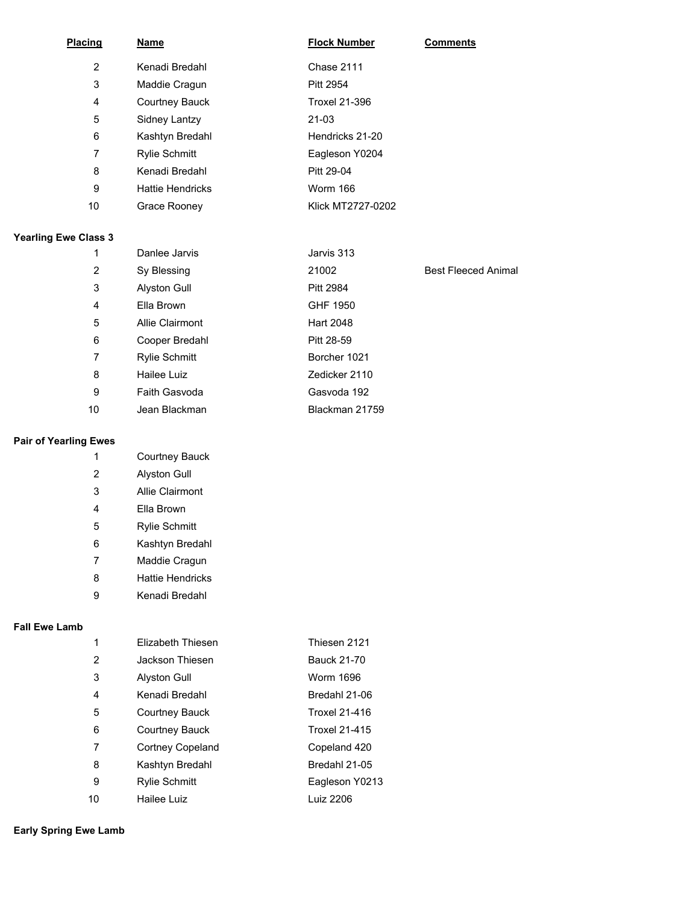| Placing                      | <b>Name</b>             | <b>Flock Number</b>  | <b>Comments</b>            |
|------------------------------|-------------------------|----------------------|----------------------------|
| $\overline{2}$               | Kenadi Bredahl          | Chase 2111           |                            |
| 3                            | Maddie Cragun           | Pitt 2954            |                            |
| 4                            | <b>Courtney Bauck</b>   | <b>Troxel 21-396</b> |                            |
| 5                            | Sidney Lantzy           | 21-03                |                            |
| 6                            | Kashtyn Bredahl         | Hendricks 21-20      |                            |
| $\overline{7}$               | <b>Rylie Schmitt</b>    | Eagleson Y0204       |                            |
| 8                            | Kenadi Bredahl          | Pitt 29-04           |                            |
| 9                            | <b>Hattie Hendricks</b> | Worm 166             |                            |
| 10                           | Grace Rooney            | Klick MT2727-0202    |                            |
| <b>Yearling Ewe Class 3</b>  |                         |                      |                            |
| 1                            | Danlee Jarvis           | Jarvis 313           |                            |
| $\overline{c}$               | Sy Blessing             | 21002                | <b>Best Fleeced Animal</b> |
| 3                            | Alyston Gull            | Pitt 2984            |                            |
| 4                            | Ella Brown              | GHF 1950             |                            |
| 5                            | Allie Clairmont         | <b>Hart 2048</b>     |                            |
| 6                            | Cooper Bredahl          | Pitt 28-59           |                            |
| $\overline{7}$               | <b>Rylie Schmitt</b>    | Borcher 1021         |                            |
| 8                            | Hailee Luiz             | Zedicker 2110        |                            |
| $\boldsymbol{9}$             | Faith Gasvoda           | Gasvoda 192          |                            |
| 10                           | Jean Blackman           | Blackman 21759       |                            |
| <b>Pair of Yearling Ewes</b> |                         |                      |                            |
| 1                            | <b>Courtney Bauck</b>   |                      |                            |
| $\overline{2}$               | <b>Alyston Gull</b>     |                      |                            |
| 3                            | Allie Clairmont         |                      |                            |
| 4                            | Ella Brown              |                      |                            |
| 5                            | <b>Rylie Schmitt</b>    |                      |                            |

6 Kashtyn Bredahl

|   | Maddie Cragun           |
|---|-------------------------|
| 8 | <b>Hattie Hendricks</b> |

9 Kenadi Bredahl

## **Fall Ewe Lamb**

| 1  | Elizabeth Thiesen     | Thiesen 2121         |
|----|-----------------------|----------------------|
| 2  | Jackson Thiesen       | <b>Bauck 21-70</b>   |
| 3  | <b>Alyston Gull</b>   | Worm 1696            |
| 4  | Kenadi Bredahl        | Bredahl 21-06        |
| 5  | <b>Courtney Bauck</b> | <b>Troxel 21-416</b> |
| 6  | <b>Courtney Bauck</b> | <b>Troxel 21-415</b> |
| 7  | Cortney Copeland      | Copeland 420         |
| 8  | Kashtyn Bredahl       | Bredahl 21-05        |
| 9  | <b>Rylie Schmitt</b>  | Eagleson Y0213       |
| 10 | Hailee Luiz           | Luiz 2206            |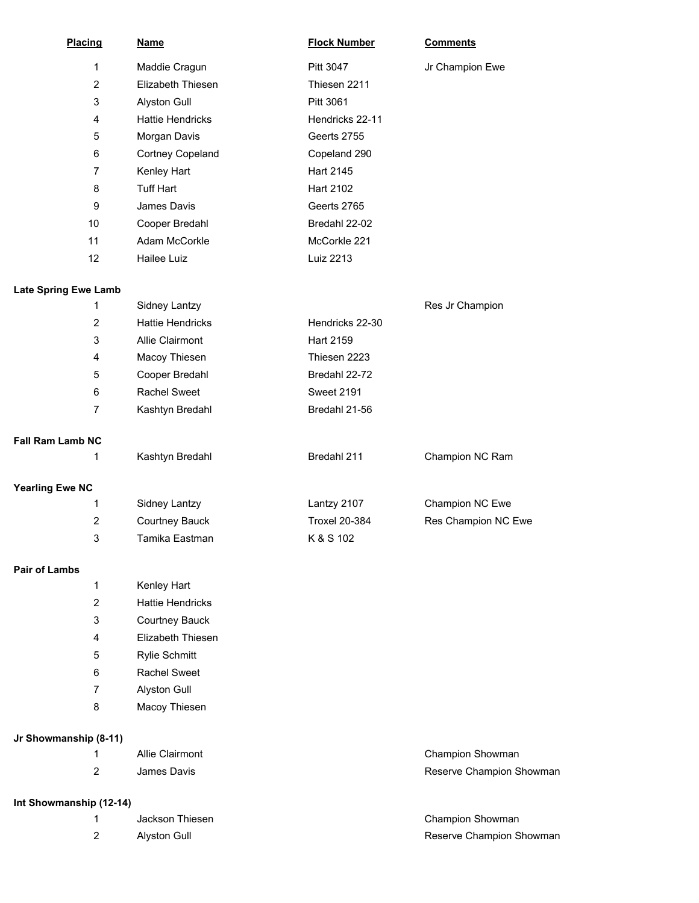| Placing                     | <b>Name</b>             | <b>Flock Number</b>  | <b>Comments</b>          |
|-----------------------------|-------------------------|----------------------|--------------------------|
| 1                           | Maddie Cragun           | Pitt 3047            | Jr Champion Ewe          |
| $\overline{2}$              | Elizabeth Thiesen       | Thiesen 2211         |                          |
| 3                           | Alyston Gull            | Pitt 3061            |                          |
| 4                           | <b>Hattie Hendricks</b> | Hendricks 22-11      |                          |
| 5                           | Morgan Davis            | Geerts 2755          |                          |
| 6                           | <b>Cortney Copeland</b> | Copeland 290         |                          |
| 7                           | Kenley Hart             | Hart 2145            |                          |
| 8                           | <b>Tuff Hart</b>        | Hart 2102            |                          |
| 9                           | James Davis             | Geerts 2765          |                          |
| 10                          | Cooper Bredahl          | Bredahl 22-02        |                          |
| 11                          | Adam McCorkle           | McCorkle 221         |                          |
| 12                          | Hailee Luiz             | Luiz 2213            |                          |
| <b>Late Spring Ewe Lamb</b> |                         |                      |                          |
| 1                           | Sidney Lantzy           |                      | Res Jr Champion          |
| $\overline{2}$              | <b>Hattie Hendricks</b> | Hendricks 22-30      |                          |
| 3                           | Allie Clairmont         | Hart 2159            |                          |
| 4                           | Macoy Thiesen           | Thiesen 2223         |                          |
| 5                           | Cooper Bredahl          | Bredahl 22-72        |                          |
| 6                           | <b>Rachel Sweet</b>     | <b>Sweet 2191</b>    |                          |
| 7                           | Kashtyn Bredahl         | Bredahl 21-56        |                          |
| <b>Fall Ram Lamb NC</b>     |                         |                      |                          |
| 1                           | Kashtyn Bredahl         | Bredahl 211          | Champion NC Ram          |
| <b>Yearling Ewe NC</b>      |                         |                      |                          |
| 1                           | Sidney Lantzy           | Lantzy 2107          | Champion NC Ewe          |
| 2                           | <b>Courtney Bauck</b>   | <b>Troxel 20-384</b> | Res Champion NC Ewe      |
| 3                           | Tamika Eastman          | K & S 102            |                          |
| <b>Pair of Lambs</b>        |                         |                      |                          |
| 1                           | Kenley Hart             |                      |                          |
| $\overline{2}$              | <b>Hattie Hendricks</b> |                      |                          |
| 3                           | <b>Courtney Bauck</b>   |                      |                          |
| 4                           | Elizabeth Thiesen       |                      |                          |
| 5                           | <b>Rylie Schmitt</b>    |                      |                          |
| 6                           | <b>Rachel Sweet</b>     |                      |                          |
| 7                           | <b>Alyston Gull</b>     |                      |                          |
| 8                           | Macoy Thiesen           |                      |                          |
| Jr Showmanship (8-11)       |                         |                      |                          |
| 1                           | Allie Clairmont         |                      | Champion Showman         |
| 2                           | James Davis             |                      | Reserve Champion Showman |
| Int Showmanship (12-14)     |                         |                      |                          |
| 1                           | Jackson Thiesen         |                      | Champion Showman         |
| 2                           | Alyston Gull            |                      | Reserve Champion Showman |